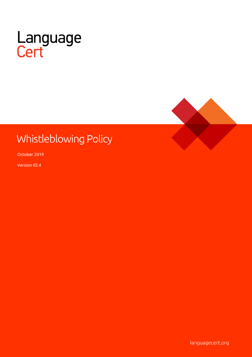



# Whistleblowing Policy

October 2019

Version 02.4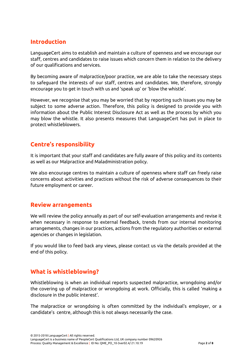## **Introduction**

LanguageCert aims to establish and maintain a culture of openness and we encourage our staff, centres and candidates to raise issues which concern them in relation to the delivery of our qualifications and services.

By becoming aware of malpractice/poor practice, we are able to take the necessary steps to safeguard the interests of our staff, centres and candidates. We, therefore, strongly encourage you to get in touch with us and 'speak up' or 'blow the whistle'.

However, we recognise that you may be worried that by reporting such issues you may be subject to some adverse action. Therefore, this policy is designed to provide you with information about the Public Interest Disclosure Act as well as the process by which you may blow the whistle. It also presents measures that LanguageCert has put in place to protect whistleblowers.

## **Centre's responsibility**

It is important that your staff and candidates are fully aware of this policy and its contents as well as our Malpractice and Maladministration policy.

We also encourage centres to maintain a culture of openness where staff can freely raise concerns about activities and practices without the risk of adverse consequences to their future employment or career.

#### **Review arrangements**

We will review the policy annually as part of our self-evaluation arrangements and revise it when necessary in response to external feedback, trends from our internal monitoring arrangements, changes in our practices, actions from the regulatory authorities or external agencies or changes in legislation.

If you would like to feed back any views, please contact us via the details provided at the end of this policy.

# **What is whistleblowing?**

Whistleblowing is when an individual reports suspected malpractice, wrongdoing and/or the covering up of malpractice or wrongdoing at work. Officially, this is called 'making a disclosure in the public interest'.

The malpractice or wrongdoing is often committed by the individual's employer, or a candidate's centre, although this is not always necessarily the case.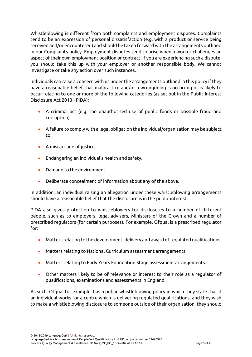Whistleblowing is different from both complaints and employment disputes. Complaints tend to be an expression of personal dissatisfaction (e.g. with a product or service being received and/or encountered) and should be taken forward with the arrangements outlined in our Complaints policy. Employment disputes tend to arise when a worker challenges an aspect of their own employment position or contract. If you are experiencing such a dispute, you should take this up with your employer or another responsible body. We cannot investigate or take any action over such instances.

Individuals can raise a concern with us under the arrangements outlined in this policy if they have a reasonable belief that malpractice and/or a wrongdoing is occurring or is likely to occur relating to one or more of the following categories (as set out in the Public Interest Disclosure Act 2013 - PIDA):

- A criminal act (e.g. the unauthorised use of public funds or possible fraud and corruption).
- A failure to comply with a legal obligation the individual/organisation may be subject to.
- A miscarriage of justice.
- Endangering an individual's health and safety.
- Damage to the environment.
- Deliberate concealment of information about any of the above.

In addition, an individual raising an allegation under these whistleblowing arrangements should have a reasonable belief that the disclosure is in the public interest.

PIDA also gives protection to whistleblowers for disclosures to a number of different people, such as to employers, legal advisers, Ministers of the Crown and a number of prescribed regulators (for certain purposes). For example, Ofqual is a prescribed regulator for:

- Matters relating to the development, delivery and award of regulated qualifications.
- Matters relating to National Curriculum assessment arrangements.
- Matters relating to Early Years Foundation Stage assessment arrangements.
- Other matters likely to be of relevance or interest to their role as a regulator of qualifications, examinations and assessments in England.

As such, Ofqual for example, has a public whistleblowing policy in which they state that if an individual works for a centre which is delivering regulated qualifications, and they wish to make a whistleblowing disclosure to someone outside of their organisation, they should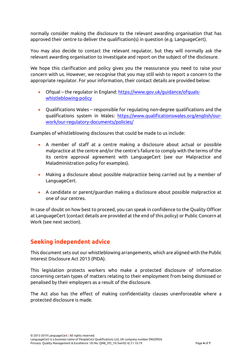normally consider making the disclosure to the relevant awarding organisation that has approved their centre to deliver the qualification(s) in question (e.g. LanguageCert).

You may also decide to contact the relevant regulator, but they will normally ask the relevant awarding organisation to investigate and report on the subject of the disclosure.

We hope this clarification and policy gives you the reassurance you need to raise your concern with us. However, we recognise that you may still wish to report a concern to the appropriate regulator. For your information, their contact details are provided below:

- Ofqual the regulator in England: [https://www.gov.uk/guidance/ofquals](https://www.gov.uk/guidance/ofquals-whistleblowing-policy)[whistleblowing-policy](https://www.gov.uk/guidance/ofquals-whistleblowing-policy)
- Qualifications Wales responsible for regulating non-degree qualifications and the qualifications system in Wales: [https://www.qualificationswales.org/english/our](https://www.qualificationswales.org/english/our-work/our-regulatory-documents/policies/)[work/our-regulatory-documents/policies/](https://www.qualificationswales.org/english/our-work/our-regulatory-documents/policies/)

Examples of whistleblowing disclosures that could be made to us include:

- A member of staff at a centre making a disclosure about actual or possible malpractice at the centre and/or the centre's failure to comply with the terms of the its centre approval agreement with LanguageCert (see our Malpractice and Maladministration policy for examples).
- Making a disclosure about possible malpractice being carried out by a member of LanguageCert.
- A candidate or parent/guardian making a disclosure about possible malpractice at one of our centres.

In case of doubt on how best to proceed, you can speak in confidence to the Quality Officer at LanguageCert (contact details are provided at the end of this policy) or Public Concern at Work (see next section).

# **Seeking independent advice**

This document sets out our whistleblowing arrangements, which are aligned with the Public Interest Disclosure Act 2013 (PIDA).

This legislation protects workers who make a protected disclosure of information concerning certain types of matters relating to their employment from being dismissed or penalised by their employers as a result of the disclosure.

The Act also has the effect of making confidentiality clauses unenforceable where a protected disclosure is made.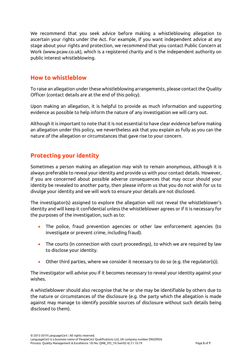We recommend that you seek advice before making a whistleblowing allegation to ascertain your rights under the Act. For example, if you want independent advice at any stage about your rights and protection, we recommend that you contact Public Concern at Work [\(www.pcaw.co.uk\)](http://www.pcaw.co.uk/), which is a registered charity and is the independent authority on public interest whistleblowing.

#### **How to whistleblow**

To raise an allegation under these whistleblowing arrangements, please contact the Quality Officer (contact details are at the end of this policy).

Upon making an allegation, it is helpful to provide as much information and supporting evidence as possible to help inform the nature of any investigation we will carry out.

Although it is important to note that it is not essential to have clear evidence before making an allegation under this policy, we nevertheless ask that you explain as fully as you can the nature of the allegation or circumstances that gave rise to your concern.

# **Protecting your identity**

Sometimes a person making an allegation may wish to remain anonymous, although it is always preferable to reveal your identity and provide us with your contact details. However, if you are concerned about possible adverse consequences that may occur should your identity be revealed to another party, then please inform us that you do not wish for us to divulge your identity and we will work to ensure your details are not disclosed.

The investigator(s) assigned to explore the allegation will not reveal the whistleblower's identity and will keep it confidential unless the whistleblower agrees or if it is necessary for the purposes of the investigation, such as to:

- The police, fraud prevention agencies or other law enforcement agencies (to investigate or prevent crime, including fraud).
- The courts (in connection with court proceedings), to which we are required by law to disclose your identity.
- Other third parties, where we consider it necessary to do so (e.g. the regulator(s)).

The investigator will advise you if it becomes necessary to reveal your identity against your wishes.

A whistleblower should also recognise that he or she may be identifiable by others due to the nature or circumstances of the disclosure (e.g. the party which the allegation is made against may manage to identify possible sources of disclosure without such details being disclosed to them).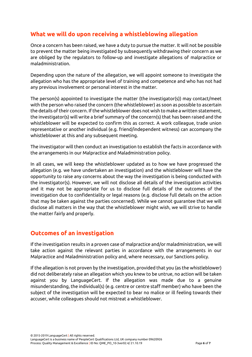# **What we will do upon receiving a whistleblowing allegation**

Once a concern has been raised, we have a duty to pursue the matter. It will not be possible to prevent the matter being investigated by subsequently withdrawing their concern as we are obliged by the regulators to follow-up and investigate allegations of malpractice or maladministration.

Depending upon the nature of the allegation, we will appoint someone to investigate the allegation who has the appropriate level of training and competence and who has not had any previous involvement or personal interest in the matter.

The person(s) appointed to investigate the matter (the investigator(s)) may contact/meet with the person who raised the concern (the whistleblower) as soon as possible to ascertain the details of their concern. If the whistleblower does not wish to make a written statement, the investigator(s) will write a brief summary of the concern(s) that has been raised and the whistleblower will be expected to confirm this as correct. A work colleague, trade union representative or another individual (e.g. friend/independent witness) can accompany the whistleblower at this and any subsequent meeting.

The investigator will then conduct an investigation to establish the facts in accordance with the arrangements in our Malpractice and Maladministration policy.

In all cases, we will keep the whistleblower updated as to how we have progressed the allegation (e.g. we have undertaken an investigation) and the whistleblower will have the opportunity to raise any concerns about the way the investigation is being conducted with the investigator(s). However, we will not disclose all details of the investigation activities and it may not be appropriate for us to disclose full details of the outcomes of the investigation due to confidentiality or legal reasons (e.g. disclose full details on the action that may be taken against the parties concerned). While we cannot guarantee that we will disclose all matters in the way that the whistleblower might wish, we will strive to handle the matter fairly and properly.

#### **Outcomes of an investigation**

If the investigation results in a proven case of malpractice and/or maladministration, we will take action against the relevant parties in accordance with the arrangements in our Malpractice and Maladministration policy and, where necessary, our Sanctions policy.

If the allegation is not proven by the investigation, provided that you (as the whistleblower) did not deliberately raise an allegation which you knew to be untrue, no action will be taken against you by LanguageCert. If the allegation was made due to a genuine misunderstanding, the individual(s) (e.g. centre or centre staff member) who have been the subject of the investigation will be expected to bear no malice or ill feeling towards their accuser, while colleagues should not mistreat a whistleblower.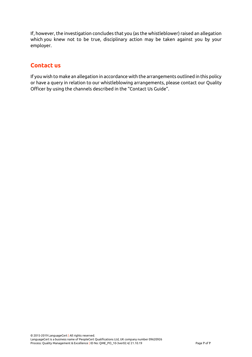If, however, the investigation concludes that you (as the whistleblower) raised an allegation which you knew not to be true, disciplinary action may be taken against you by your employer.

#### **Contact us**

If you wish to make an allegation in accordance with the arrangements outlined in this policy or have a query in relation to our whistleblowing arrangements, please contact our Quality Officer by using the channels described in the "Contact Us Guide".